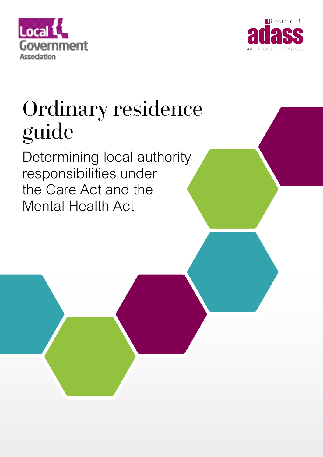



# Ordinary residence guide

Determining local authority responsibilities under the Care Act and the Mental Health Act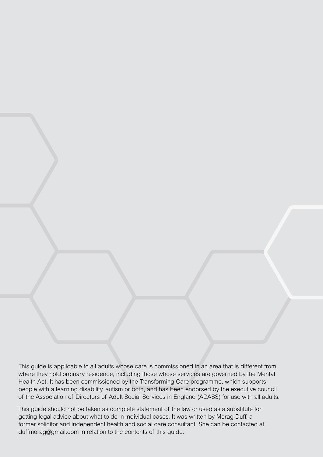This guide is applicable to all adults whose care is commissioned in an area that is different from where they hold ordinary residence, including those whose services are governed by the Mental Health Act. It has been commissioned by the Transforming Care programme, which supports people with a learning disability, autism or both, and has been endorsed by the executive council of the Association of Directors of Adult Social Services in England (ADASS) for use with all adults.

This guide should not be taken as complete statement of the law or used as a substitute for getting legal advice about what to do in individual cases. It was written by Morag Duff, a former solicitor and independent health and social care consultant. She can be contacted at duffmorag@gmail.com in relation to the contents of this guide.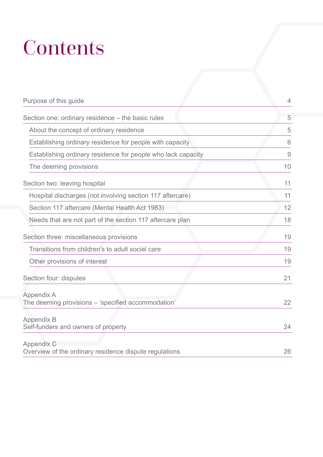# **Contents**

| Purpose of this guide                                                   | 4              |
|-------------------------------------------------------------------------|----------------|
| Section one: ordinary residence – the basic rules                       | 5              |
| About the concept of ordinary residence                                 | 5              |
| Establishing ordinary residence for people with capacity                | 6              |
| Establishing ordinary residence for people who lack capacity            | $\overline{9}$ |
| The deeming provisions                                                  | 10             |
| Section two: leaving hospital                                           | 11             |
| Hospital discharges (not involving section 117 aftercare)               | 11             |
| Section 117 aftercare (Mental Health Act 1983)                          | 12             |
| Needs that are not part of the section 117 aftercare plan               | 18             |
| Section three: miscellaneous provisions                                 | 19             |
| Transitions from children's to adult social care                        | 19             |
| Other provisions of interest                                            | 19             |
| Section four: disputes                                                  | 21             |
| <b>Appendix A</b><br>The deeming provisions - 'specified accommodation' | 22             |
| <b>Appendix B</b><br>Self-funders and owners of property                | 24             |
| Appendix C<br>Overview of the ordinary residence dispute regulations    | 26             |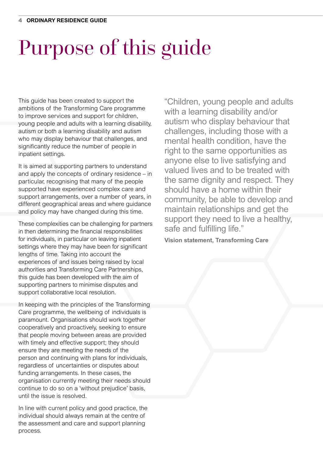# Purpose of this guide

This guide has been created to support the ambitions of the Transforming Care programme to improve services and support for children, young people and adults with a learning disability, autism or both a learning disability and autism who may display behaviour that challenges, and significantly reduce the number of people in inpatient settings.

It is aimed at supporting partners to understand and apply the concepts of ordinary residence – in particular, recognising that many of the people supported have experienced complex care and support arrangements, over a number of years, in different geographical areas and where guidance and policy may have changed during this time.

These complexities can be challenging for partners in then determining the financial responsibilities for individuals, in particular on leaving inpatient settings where they may have been for significant lengths of time. Taking into account the experiences of and issues being raised by local authorities and Transforming Care Partnerships, this guide has been developed with the aim of supporting partners to minimise disputes and support collaborative local resolution.

In keeping with the principles of the Transforming Care programme, the wellbeing of individuals is paramount. Organisations should work together cooperatively and proactively, seeking to ensure that people moving between areas are provided with timely and effective support; they should ensure they are meeting the needs of the person and continuing with plans for individuals, regardless of uncertainties or disputes about funding arrangements. In these cases, the organisation currently meeting their needs should continue to do so on a 'without prejudice' basis, until the issue is resolved.

In line with current policy and good practice, the individual should always remain at the centre of the assessment and care and support planning process.

"Children, young people and adults with a learning disability and/or autism who display behaviour that challenges, including those with a mental health condition, have the right to the same opportunities as anyone else to live satisfying and valued lives and to be treated with the same dignity and respect. They should have a home within their community, be able to develop and maintain relationships and get the support they need to live a healthy, safe and fulfilling life."

**Vision statement, Transforming Care**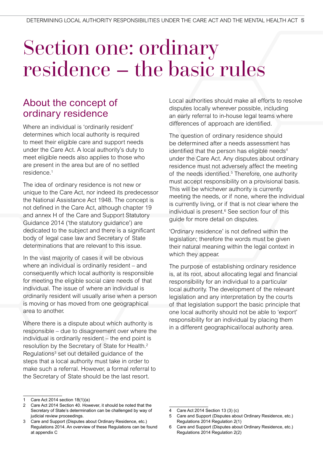## Section one: ordinary residence – the basic rules

## About the concept of ordinary residence

Where an individual is 'ordinarily resident' determines which local authority is required to meet their eligible care and support needs under the Care Act. A local authority's duty to meet eligible needs also applies to those who are present in the area but are of no settled residence.1

The idea of ordinary residence is not new or unique to the Care Act, nor indeed its predecessor the National Assistance Act 1948. The concept is not defined in the Care Act, although chapter 19 and annex H of the Care and Support Statutory Guidance 2014 ('the statutory guidance') are dedicated to the subject and there is a significant body of legal case law and Secretary of State determinations that are relevant to this issue.

In the vast majority of cases it will be obvious where an individual is ordinarily resident – and consequently which local authority is responsible for meeting the eligible social care needs of that individual. The issue of where an individual is ordinarily resident will usually arise when a person is moving or has moved from one geographical area to another.

Where there is a dispute about which authority is responsible – due to disagreement over where the individual is ordinarily resident – the end point is resolution by the Secretary of State for Health.2 Regulations<sup>3</sup> set out detailed guidance of the steps that a local authority must take in order to make such a referral. However, a formal referral to the Secretary of State should be the last resort.

Local authorities should make all efforts to resolve disputes locally wherever possible, including an early referral to in-house legal teams where differences of approach are identified.

The question of ordinary residence should be determined after a needs assessment has identified that the person has eligible needs<sup>4</sup> under the Care Act. Any disputes about ordinary residence must not adversely affect the meeting of the needs identified.<sup>5</sup> Therefore, one authority must accept responsibility on a provisional basis. This will be whichever authority is currently meeting the needs, or if none, where the individual is currently living, or if that is not clear where the individual is present.<sup>6</sup> See section four of this guide for more detail on disputes.

'Ordinary residence' is not defined within the legislation; therefore the words must be given their natural meaning within the legal context in which they appear.

The purpose of establishing ordinary residence is, at its root, about allocating legal and financial responsibility for an individual to a particular local authority. The development of the relevant legislation and any interpretation by the courts of that legislation support the basic principle that one local authority should not be able to 'export' responsibility for an individual by placing them in a different geographical/local authority area.

<sup>1</sup> Care Act 2014 section 18(1)(a)

Care Act 2014 Section 40. However, it should be noted that the Secretary of State's determination can be challenged by way of judicial review proceedings.

<sup>3</sup> Care and Support (Disputes about Ordinary Residence, etc.) Regulations 2014. An overview of these Regulations can be found at appendix C

<sup>4</sup> Care Act 2014 Section 13 (3) (c)

<sup>5</sup> Care and Support (Disputes about Ordinary Residence, etc.) Regulations 2014 Regulation 2(1)

<sup>6</sup> Care and Support (Disputes about Ordinary Residence, etc.) Regulations 2014 Regulation 2(2)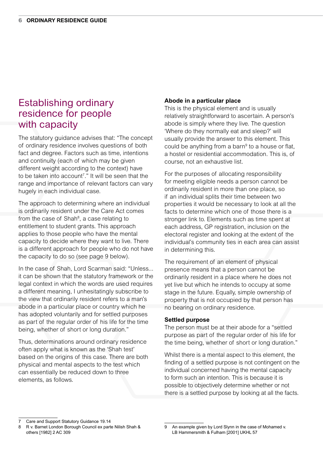## Establishing ordinary residence for people with capacity

The statutory guidance advises that: "The concept of ordinary residence involves questions of both fact and degree. Factors such as time, intentions and continuity (each of which may be given different weight according to the context) have to be taken into account<sup>7</sup>." It will be seen that the range and importance of relevant factors can vary hugely in each individual case.

The approach to determining where an individual is ordinarily resident under the Care Act comes from the case of Shah<sup>8</sup>, a case relating to entitlement to student grants. This approach applies to those people who have the mental capacity to decide where they want to live. There is a different approach for people who do not have the capacity to do so (see page 9 below).

In the case of Shah, Lord Scarman said: "Unless... it can be shown that the statutory framework or the legal context in which the words are used requires a different meaning, I unhesitatingly subscribe to the view that ordinarily resident refers to a man's abode in a particular place or country which he has adopted voluntarily and for settled purposes as part of the regular order of his life for the time being, whether of short or long duration."

Thus, determinations around ordinary residence often apply what is known as the 'Shah test' based on the origins of this case. There are both physical and mental aspects to the test which can essentially be reduced down to three elements, as follows.

### **Abode in a particular place**

This is the physical element and is usually relatively straightforward to ascertain. A person's abode is simply where they live. The question 'Where do they normally eat and sleep?' will usually provide the answer to this element. This could be anything from a barn<sup>9</sup> to a house or flat, a hostel or residential accommodation. This is, of course, not an exhaustive list.

For the purposes of allocating responsibility for meeting eligible needs a person cannot be ordinarily resident in more than one place, so if an individual splits their time between two properties it would be necessary to look at all the facts to determine which one of those there is a stronger link to. Elements such as time spent at each address, GP registration, inclusion on the electoral register and looking at the extent of the individual's community ties in each area can assist in determining this.

The requirement of an element of physical presence means that a person cannot be ordinarily resident in a place where he does not yet live but which he intends to occupy at some stage in the future. Equally, simple ownership of property that is not occupied by that person has no bearing on ordinary residence.

### **Settled purpose**

The person must be at their abode for a "settled purpose as part of the regular order of his life for the time being, whether of short or long duration."

Whilst there is a mental aspect to this element, the finding of a settled purpose is not contingent on the individual concerned having the mental capacity to form such an intention. This is because it is possible to objectively determine whether or not there is a settled purpose by looking at all the facts.

<sup>7</sup> Care and Support Statutory Guidance 19.14

<sup>8</sup> R v. Barnet London Borough Council ex parte Nilish Shah & others [1982] 2 AC 309

<sup>9</sup> An example given by Lord Slynn in the case of Mohamed v. LB Hammersmith & Fulham [2001] UKHL 57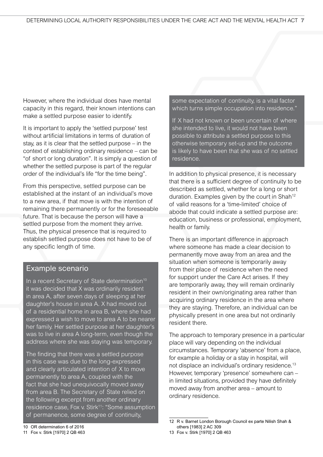However, where the individual does have mental capacity in this regard, their known intentions can make a settled purpose easier to identify.

It is important to apply the 'settled purpose' test without artificial limitations in terms of duration of stay, as it is clear that the settled purpose – in the context of establishing ordinary residence – can be "of short or long duration". It is simply a question of whether the settled purpose is part of the regular order of the individual's life "for the time being".

From this perspective, settled purpose can be established at the instant of an individual's move to a new area, if that move is with the intention of remaining there permanently or for the foreseeable future. That is because the person will have a settled purpose from the moment they arrive. Thus, the physical presence that is required to establish settled purpose does not have to be of any specific length of time.

### Example scenario

In a recent Secretary of State determination<sup>10</sup> it was decided that X was ordinarily resident in area A, after seven days of sleeping at her daughter's house in area A. X had moved out of a residential home in area B, where she had expressed a wish to move to area A to be nearer her family. Her settled purpose at her daughter's was to live in area A long-term, even though the address where she was staying was temporary.

The finding that there was a settled purpose in this case was due to the long-expressed and clearly articulated intention of X to move permanently to area A, coupled with the fact that she had unequivocally moved away from area B. The Secretary of State relied on the following excerpt from another ordinary residence case, Fox v. Stirk<sup>11</sup>: "Some assumption of permanence, some degree of continuity,

some expectation of continuity, is a vital factor which turns simple occupation into residence."

If X had not known or been uncertain of where she intended to live, it would not have been possible to attribute a settled purpose to this otherwise temporary set-up and the outcome is likely to have been that she was of no settled residence.

In addition to physical presence, it is necessary that there is a sufficient degree of continuity to be described as settled, whether for a long or short duration. Examples given by the court in Shah<sup>12</sup> of valid reasons for a 'time-limited' choice of abode that could indicate a settled purpose are: education, business or professional, employment, health or family.

There is an important difference in approach where someone has made a clear decision to permanently move away from an area and the situation when someone is temporarily away from their place of residence when the need for support under the Care Act arises. If they are temporarily away, they will remain ordinarily resident in their own/originating area rather than acquiring ordinary residence in the area where they are staying. Therefore, an individual can be physically present in one area but not ordinarily resident there.

The approach to temporary presence in a particular place will vary depending on the individual circumstances. Temporary 'absence' from a place, for example a holiday or a stay in hospital, will not displace an individual's ordinary residence.13 However, temporary 'presence' somewhere can – in limited situations, provided they have definitely moved away from another area – amount to ordinary residence.

<sup>12</sup> R v. Barnet London Borough Council ex parte Nilish Shah & others [1983] 2 AC 309

<sup>10</sup> OR determination 6 of 2016 11 Fox v. Stirk [1970] 2 QB 463

<sup>13</sup> Fox v. Stirk [1970] 2 QB 463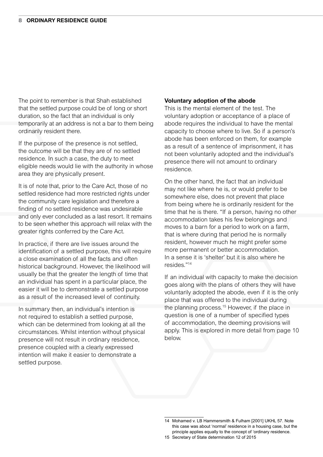The point to remember is that Shah established that the settled purpose could be of long or short duration, so the fact that an individual is only temporarily at an address is not a bar to them being ordinarily resident there.

If the purpose of the presence is not settled, the outcome will be that they are of no settled residence. In such a case, the duty to meet eligible needs would lie with the authority in whose area they are physically present.

It is of note that, prior to the Care Act, those of no settled residence had more restricted rights under the community care legislation and therefore a finding of no settled residence was undesirable and only ever concluded as a last resort. It remains to be seen whether this approach will relax with the greater rights conferred by the Care Act.

In practice, if there are live issues around the identification of a settled purpose, this will require a close examination of all the facts and often historical background. However, the likelihood will usually be that the greater the length of time that an individual has spent in a particular place, the easier it will be to demonstrate a settled purpose as a result of the increased level of continuity.

In summary then, an individual's intention is not required to establish a settled purpose, which can be determined from looking at all the circumstances. Whilst intention without physical presence will not result in ordinary residence, presence coupled with a clearly expressed intention will make it easier to demonstrate a settled purpose.

### **Voluntary adoption of the abode**

This is the mental element of the test. The voluntary adoption or acceptance of a place of abode requires the individual to have the mental capacity to choose where to live. So if a person's abode has been enforced on them, for example as a result of a sentence of imprisonment, it has not been voluntarily adopted and the individual's presence there will not amount to ordinary residence.

On the other hand, the fact that an individual may not like where he is, or would prefer to be somewhere else, does not prevent that place from being where he is ordinarily resident for the time that he is there. "If a person, having no other accommodation takes his few belongings and moves to a barn for a period to work on a farm, that is where during that period he is normally resident, however much he might prefer some more permanent or better accommodation. In a sense it is 'shelter' but it is also where he resides."14

If an individual with capacity to make the decision goes along with the plans of others they will have voluntarily adopted the abode, even if it is the only place that was offered to the individual during the planning process.<sup>15</sup> However, if the place in question is one of a number of specified types of accommodation, the deeming provisions will apply. This is explored in more detail from page 10 below.

<sup>14</sup> Mohamed v. LB Hammersmith & Fulham [2001] UKHL 57. Note this case was about 'normal' residence in a housing case, but the principle applies equally to the concept of 'ordinary residence.

<sup>15</sup> Secretary of State determination 12 of 2015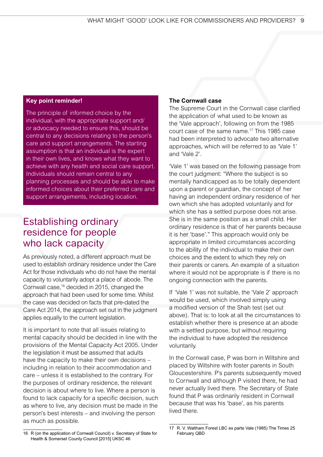### **Key point reminder!**

The principle of informed choice by the individual, with the appropriate support and/ or advocacy needed to ensure this, should be central to any decisions relating to the person's care and support arrangements. The starting assumption is that an individual is the expert in their own lives, and knows what they want to achieve with any health and social care support. Individuals should remain central to any planning processes and should be able to make informed choices about their preferred care and support arrangements, including location.

## Establishing ordinary residence for people who lack capacity

As previously noted, a different approach must be used to establish ordinary residence under the Care Act for those individuals who do not have the mental capacity to voluntarily adopt a place of abode. The Cornwall case,16 decided in 2015, changed the approach that had been used for some time. Whilst the case was decided on facts that pre-dated the Care Act 2014, the approach set out in the judgment applies equally to the current legislation.

It is important to note that all issues relating to mental capacity should be decided in line with the provisions of the Mental Capacity Act 2005. Under the legislation it must be assumed that adults have the capacity to make their own decisions – including in relation to their accommodation and care – unless it is established to the contrary. For the purposes of ordinary residence, the relevant decision is about where to live. Where a person is found to lack capacity for a specific decision, such as where to live, any decision must be made in the person's best interests – and involving the person as much as possible.

### **The Cornwall case**

The Supreme Court in the Cornwall case clarified the application of what used to be known as the 'Vale approach', following on from the 1985 court case of the same name.17 This 1985 case had been interpreted to advocate two alternative approaches, which will be referred to as 'Vale 1' and 'Vale 2'.

'Vale 1' was based on the following passage from the court judgment: "Where the subject is so mentally handicapped as to be totally dependent upon a parent or guardian, the concept of her having an independent ordinary residence of her own which she has adopted voluntarily and for which she has a settled purpose does not arise. She is in the same position as a small child. Her ordinary residence is that of her parents because it is her 'base'." This approach would only be appropriate in limited circumstances according to the ability of the individual to make their own choices and the extent to which they rely on their parents or carers. An example of a situation where it would not be appropriate is if there is no ongoing connection with the parents.

If 'Vale 1' was not suitable, the 'Vale 2' approach would be used, which involved simply using a modified version of the Shah test (set out above). That is: to look at all the circumstances to establish whether there is presence at an abode with a settled purpose, but without requiring the individual to have adopted the residence voluntarily.

In the Cornwall case, P was born in Wiltshire and placed by Wiltshire with foster parents in South Gloucestershire. P's parents subsequently moved to Cornwall and although P visited there, he had never actually lived there. The Secretary of State found that P was ordinarily resident in Cornwall because that was his 'base', as his parents lived there.

<sup>16</sup> R (on the application of Cornwall Council) v. Secretary of State for Health & Somerset County Council [2015] UKSC 46

<sup>17</sup> R. V. Waltham Forest LBC ex parte Vale (1985) The Times 25 February QBD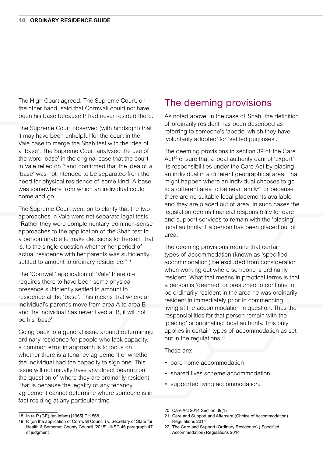The High Court agreed. The Supreme Court, on the other hand, said that Cornwall could not have been his base because P had never resided there.

The Supreme Court observed (with hindsight) that it may have been unhelpful for the court in the Vale case to merge the Shah test with the idea of a 'base'. The Supreme Court analysed the use of the word 'base' in the original case that the court in Vale relied on<sup>18</sup> and confirmed that the idea of a 'base' was not intended to be separated from the need for physical residence of some kind. A base was somewhere from which an individual could come and go.

The Supreme Court went on to clarify that the two approaches in Vale were not separate legal tests: "Rather they were complementary, common-sense approaches to the application of the Shah test to a person unable to make decisions for herself; that is, to the single question whether her period of actual residence with her parents was sufficiently settled to amount to ordinary residence."<sup>19</sup>

The 'Cornwall' application of 'Vale' therefore requires there to have been some physical presence sufficiently settled to amount to residence at the 'base'. This means that where an individual's parent's move from area A to area B and the individual has never lived at B, it will not be his 'base'.

Going back to a general issue around determining ordinary residence for people who lack capacity, a common error in approach is to focus on whether there is a tenancy agreement or whether the individual had the capacity to sign one. This issue will not usually have any direct bearing on the question of where they are ordinarily resident. That is because the legality of any tenancy agreement cannot determine where someone is in fact residing at any particular time.

## The deeming provisions

As noted above, in the case of Shah, the definition of ordinarily resident has been described as referring to someone's 'abode' which they have 'voluntarily adopted' for 'settled purposes'.

The deeming provisions in section 39 of the Care Act<sup>20</sup> ensure that a local authority cannot 'export' its responsibilities under the Care Act by placing an individual in a different geographical area. That might happen where an individual chooses to go to a different area to be near family<sup>21</sup> or because there are no suitable local placements available and they are placed out of area. In such cases the legislation deems financial responsibility for care and support services to remain with the 'placing' local authority if a person has been placed out of area.

The deeming provisions require that certain types of accommodation (known as 'specified accommodation') be excluded from consideration when working out where someone is ordinarily resident. What that means in practical terms is that a person is 'deemed' or presumed to continue to be ordinarily resident in the area he was ordinarily resident in immediately prior to commencing living at the accommodation in question. Thus the responsibilities for that person remain with the 'placing' or originating local authority. This only applies in certain types of accommodation as set out in the regulations.<sup>22</sup>

These are:

- care home accommodation
- shared lives scheme accommodation
- supported living accommodation.

18 In re P (GE) (an infant) [1965] CH 568

<sup>20</sup> Care Act 2014 Section 39(1)

<sup>21</sup> Care and Support and Aftercare (Choice of Accommodation) Regulations 2014

<sup>19</sup> R (on the application of Cornwall Council) v. Secretary of State for Health & Somerset County Council [2015] UKSC 46 paragraph 47 of judgment

<sup>22</sup> The Care and Support (Ordinary Residence) ( Specified Accommodation) Regulations 2014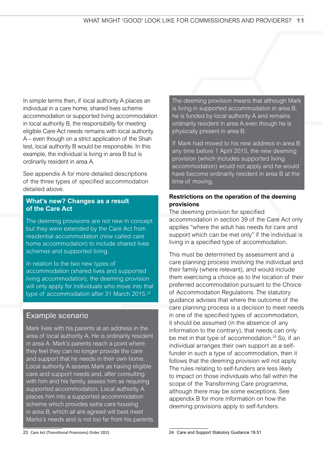In simple terms then, if local authority A places an individual in a care home, shared lives scheme accommodation or supported living accommodation in local authority B, the responsibility for meeting eligible Care Act needs remains with local authority A – even though on a strict application of the Shah test, local authority B would be responsible. In this example, the individual is living in area B but is ordinarily resident in area A.

See appendix A for more detailed descriptions of the three types of specified accommodation detailed above.

### **What's new? Changes as a result of the Care Act**

The deeming provisions are not new in concept but they were extended by the Care Act from residential accommodation (now called care home accommodation) to include shared lives schemes and supported living.

In relation to the two new types of accommodation (shared lives and supported living accommodation), the deeming provision will only apply for individuals who move into that type of accommodation after 31 March 2015.<sup>23</sup>

### Example scenario

Mark lives with his parents at an address in the area of local authority A. He is ordinarily resident in area A. Mark's parents reach a point where they feel they can no longer provide the care and support that he needs in their own home. Local authority A assess Mark as having eligible care and support needs and, after consulting with him and his family, assess him as requiring supported accommodation. Local authority A places him into a supported accommodation scheme which provides extra care housing in area B, which all are agreed will best meet Marks's needs and is not too far from his parents.

The deeming provision means that although Mark is living in supported accommodation in area B, he is funded by local authority A and remains ordinarily resident in area A even though he is physically present in area B.

If Mark had moved to his new address in area B any time before 1 April 2015, the new deeming provision (which includes supported living accommodation) would not apply and he would have become ordinarily resident in area B at the time of moving.

### **Restrictions on the operation of the deeming provisions**

The deeming provision for specified accommodation in section 39 of the Care Act only applies "where the adult has needs for care and support which can be met only" if the individual is living in a specified type of accommodation.

This must be determined by assessment and a care planning process involving the individual and their family (where relevant), and would include them exercising a choice as to the location of their preferred accommodation pursuant to the Choice of Accommodation Regulations. The statutory guidance advises that where the outcome of the care planning process is a decision to meet needs in one of the specified types of accommodation, it should be assumed (in the absence of any information to the contrary), that needs can only be met in that type of accommodation.<sup>24</sup> So, if an individual arranges their own support as a selffunder in such a type of accommodation, then it follows that the deeming provision will not apply. The rules relating to self-funders are less likely to impact on those individuals who fall within the scope of the Transforming Care programme, although there may be some exceptions. See appendix B for more information on how the deeming provisions apply to self-funders.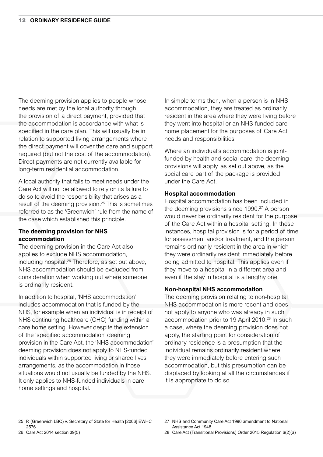The deeming provision applies to people whose needs are met by the local authority through the provision of a direct payment, provided that the accommodation is accordance with what is specified in the care plan. This will usually be in relation to supported living arrangements where the direct payment will cover the care and support required (but not the cost of the accommodation). Direct payments are not currently available for long-term residential accommodation.

A local authority that fails to meet needs under the Care Act will not be allowed to rely on its failure to do so to avoid the responsibility that arises as a result of the deeming provision.25 This is sometimes referred to as the 'Greenwich' rule from the name of the case which established this principle.

### **The deeming provision for NHS accommodation**

The deeming provision in the Care Act also applies to exclude NHS accommodation, including hospital.<sup>26</sup> Therefore, as set out above, NHS accommodation should be excluded from consideration when working out where someone is ordinarily resident.

In addition to hospital, 'NHS accommodation' includes accommodation that is funded by the NHS, for example when an individual is in receipt of NHS continuing healthcare (CHC) funding within a care home setting. However despite the extension of the 'specified accommodation' deeming provision in the Care Act, the 'NHS accommodation' deeming provision does not apply to NHS-funded individuals within supported living or shared lives arrangements, as the accommodation in those situations would not usually be funded by the NHS. It only applies to NHS-funded individuals in care home settings and hospital.

In simple terms then, when a person is in NHS accommodation, they are treated as ordinarily resident in the area where they were living before they went into hospital or an NHS-funded care home placement for the purposes of Care Act needs and responsibilities.

Where an individual's accommodation is jointfunded by health and social care, the deeming provisions will apply, as set out above, as the social care part of the package is provided under the Care Act.

### **Hospital accommodation**

Hospital accommodation has been included in the deeming provisions since 1990.<sup>27</sup> A person would never be ordinarily resident for the purpose of the Care Act within a hospital setting. In these instances, hospital provision is for a period of time for assessment and/or treatment, and the person remains ordinarily resident in the area in which they were ordinarily resident immediately before being admitted to hospital. This applies even if they move to a hospital in a different area and even if the stay in hospital is a lengthy one.

### **Non-hospital NHS accommodation**

The deeming provision relating to non-hospital NHS accommodation is more recent and does not apply to anyone who was already in such accommodation prior to 19 April 2010.<sup>28</sup> In such a case, where the deeming provision does not apply, the starting point for consideration of ordinary residence is a presumption that the individual remains ordinarily resident where they were immediately before entering such accommodation, but this presumption can be displaced by looking at all the circumstances if it is appropriate to do so.

<sup>25</sup> R (Greenwich LBC) v. Secretary of State for Health [2006] EWHC 2576

<sup>27</sup> NHS and Community Care Act 1990 amendment to National Assistance Act 1948

<sup>26</sup> Care Act 2014 section 39(5)

<sup>28</sup> Care Act (Transitional Provisions) Order 2015 Regulation 6(2)(a)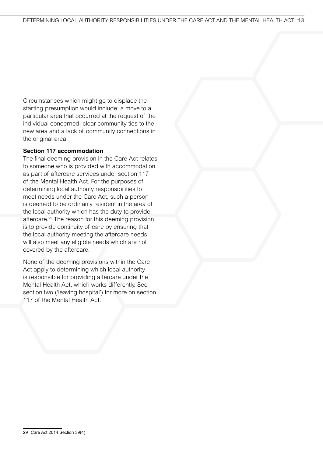Circumstances which might go to displace the starting presumption would include: a move to a particular area that occurred at the request of the individual concerned, clear community ties to the new area and a lack of community connections in the original area.

### **Section 117 accommodation**

The final deeming provision in the Care Act relates to someone who is provided with accommodation as part of aftercare services under section 117 of the Mental Health Act. For the purposes of determining local authority responsibilities to meet needs under the Care Act, such a person is deemed to be ordinarily resident in the area of the local authority which has the duty to provide aftercare.29 The reason for this deeming provision is to provide continuity of care by ensuring that the local authority meeting the aftercare needs will also meet any eligible needs which are not covered by the aftercare.

None of the deeming provisions within the Care Act apply to determining which local authority is responsible for providing aftercare under the Mental Health Act, which works differently. See section two ('leaving hospital') for more on section 117 of the Mental Health Act.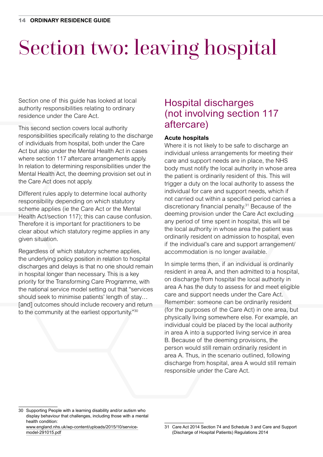# Section two: leaving hospital

Section one of this guide has looked at local authority responsibilities relating to ordinary residence under the Care Act.

This second section covers local authority responsibilities specifically relating to the discharge of individuals from hospital, both under the Care Act but also under the Mental Health Act in cases where section 117 aftercare arrangements apply. In relation to determining responsibilities under the Mental Health Act, the deeming provision set out in the Care Act does not apply.

Different rules apply to determine local authority responsibility depending on which statutory scheme applies (ie the Care Act or the Mental Health Act/section 117); this can cause confusion. Therefore it is important for practitioners to be clear about which statutory regime applies in any given situation.

Regardless of which statutory scheme applies, the underlying policy position in relation to hospital discharges and delays is that no one should remain in hospital longer than necessary. This is a key priority for the Transforming Care Programme, with the national service model setting out that "services should seek to minimise patients' length of stay… [and] outcomes should include recovery and return to the community at the earliest opportunity."30

## Hospital discharges (not involving section 117 aftercare)

### **Acute hospitals**

Where it is not likely to be safe to discharge an individual unless arrangements for meeting their care and support needs are in place, the NHS body must notify the local authority in whose area the patient is ordinarily resident of this. This will trigger a duty on the local authority to assess the individual for care and support needs, which if not carried out within a specified period carries a discretionary financial penalty.31 Because of the deeming provision under the Care Act excluding any period of time spent in hospital, this will be the local authority in whose area the patient was ordinarily resident on admission to hospital, even if the individual's care and support arrangement/ accommodation is no longer available.

In simple terms then, if an individual is ordinarily resident in area A, and then admitted to a hospital, on discharge from hospital the local authority in area A has the duty to assess for and meet eligible care and support needs under the Care Act. Remember: someone can be ordinarily resident (for the purposes of the Care Act) in one area, but physically living somewhere else. For example, an individual could be placed by the local authority in area A into a supported living service in area B. Because of the deeming provisions, the person would still remain ordinarily resident in area A. Thus, in the scenario outlined, following discharge from hospital, area A would still remain responsible under the Care Act.

<sup>30</sup> Supporting People with a learning disability and/or autism who display behaviour that challenges, including those with a mental health condition:

[www.england.nhs.uk/wp-content/uploads/2015/10/service](http://www.england.nhs.uk/wp-content/uploads/2015/10/service-model-291015.pdf)[model-291015.pdf](http://www.england.nhs.uk/wp-content/uploads/2015/10/service-model-291015.pdf)

<sup>31</sup> Care Act 2014 Section 74 and Schedule 3 and Care and Support (Discharge of Hospital Patients) Regulations 2014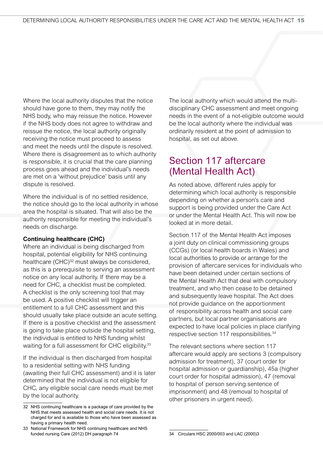Where the local authority disputes that the notice should have gone to them, they may notify the NHS body, who may reissue the notice. However if the NHS body does not agree to withdraw and reissue the notice, the local authority originally receiving the notice must proceed to assess and meet the needs until the dispute is resolved. Where there is disagreement as to which authority is responsible, it is crucial that the care planning process goes ahead and the individual's needs are met on a 'without prejudice' basis until any dispute is resolved.

Where the individual is of no settled residence, the notice should go to the local authority in whose area the hospital is situated. That will also be the authority responsible for meeting the individual's needs on discharge.

### **Continuing healthcare (CHC)**

Where an individual is being discharged from hospital, potential eligibility for NHS continuing healthcare (CHC)<sup>32</sup> must always be considered, as this is a prerequisite to serving an assessment notice on any local authority. If there may be a need for CHC, a checklist must be completed. A checklist is the only screening tool that may be used. A positive checklist will trigger an entitlement to a full CHC assessment and this should usually take place outside an acute setting. If there is a positive checklist and the assessment is going to take place outside the hospital setting, the individual is entitled to NHS funding whilst waiting for a full assessment for CHC eligibility.<sup>33</sup>

If the individual is then discharged from hospital to a residential setting with NHS funding (awaiting their full CHC assessment) and it is later determined that the individual is not eligible for CHC, any eligible social care needs must be met by the local authority.

The local authority which would attend the multidisciplinary CHC assessment and meet ongoing needs in the event of a not-eligible outcome would be the local authority where the individual was ordinarily resident at the point of admission to hospital, as set out above.

## Section 117 aftercare (Mental Health Act)

As noted above, different rules apply for determining which local authority is responsible depending on whether a person's care and support is being provided under the Care Act or under the Mental Health Act. This will now be looked at in more detail.

Section 117 of the Mental Health Act imposes a joint duty on clinical commissioning groups (CCGs) (or local health boards in Wales) and local authorities to provide or arrange for the provision of aftercare services for individuals who have been detained under certain sections of the Mental Health Act that deal with compulsory treatment, and who then cease to be detained and subsequently leave hospital. The Act does not provide guidance on the apportionment of responsibility across health and social care partners, but local partner organisations are expected to have local policies in place clarifying respective section 117 responsibilities.<sup>34</sup>

The relevant sections where section 117 aftercare would apply are sections 3 (compulsory admission for treatment), 37 (court order for hospital admission or guardianship), 45a (higher court order for hospital admission), 47 (removal to hospital of person serving sentence of imprisonment) and 48 (removal to hospital of other prisoners in urgent need).

<sup>32</sup> NHS continuing healthcare is a package of care provided by the NHS that meets assessed health and social care needs. It is not charged for and is available to those who have been assessed as having a primary health need.

<sup>33</sup> National Framework for NHS continuing healthcare and NHS funded nursing Care (2012) DH paragraph 74

<sup>34</sup> Circulars HSC 2000/003 and LAC (2000)3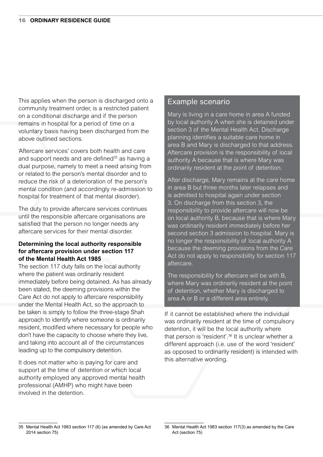This applies when the person is discharged onto a community treatment order, is a restricted patient on a conditional discharge and if the person remains in hospital for a period of time on a voluntary basis having been discharged from the above outlined sections.

'Aftercare services' covers both health and care and support needs and are defined<sup>35</sup> as having a dual purpose, namely to meet a need arising from or related to the person's mental disorder and to reduce the risk of a deterioration of the person's mental condition (and accordingly re-admission to hospital for treatment of that mental disorder).

The duty to provide aftercare services continues until the responsible aftercare organisations are satisfied that the person no longer needs any aftercare services for their mental disorder.

### **Determining the local authority responsible for aftercare provision under section 117 of the Mental Health Act 1985**

The section 117 duty falls on the local authority where the patient was ordinarily resident immediately before being detained. As has already been stated, the deeming provisions within the Care Act do not apply to aftercare responsibility under the Mental Health Act, so the approach to be taken is simply to follow the three-stage Shah approach to identify where someone is ordinarily resident, modified where necessary for people who don't have the capacity to choose where they live, and taking into account all of the circumstances leading up to the compulsory detention.

It does not matter who is paying for care and support at the time of detention or which local authority employed any approved mental health professional (AMHP) who might have been involved in the detention.

### Example scenario

Mary is living in a care home in area A funded by local authority A when she is detained under section 3 of the Mental Health Act. Discharge planning identifies a suitable care home in area B and Mary is discharged to that address. Aftercare provision is the responsibility of local authority A because that is where Mary was ordinarily resident at the point of detention.

After discharge, Mary remains at the care home in area B but three months later relapses and is admitted to hospital again under section 3. On discharge from this section 3, the responsibility to provide aftercare will now be on local authority B, because that is where Mary was ordinarily resident immediately before her second section 3 admission to hospital. Mary is no longer the responsibility of local authority A because the deeming provisions from the Care Act do not apply to responsibility for section 117 aftercare.

The responsibility for aftercare will be with B, where Mary was ordinarily resident at the point of detention, whether Mary is discharged to area A or B or a different area entirely.

If it cannot be established where the individual was ordinarily resident at the time of compulsory detention, it will be the local authority where that person is 'resident'.<sup>36</sup> It is unclear whether a different approach (i.e. use of the word 'resident' as opposed to ordinarily resident) is intended with this alternative wording.

<sup>35</sup> Mental Health Act 1983 section 117 (6) (as amended by Care Act 2014 section 75)

<sup>36</sup> Mental Health Act 1983 section 117(3) as amended by the Care Act (section 75)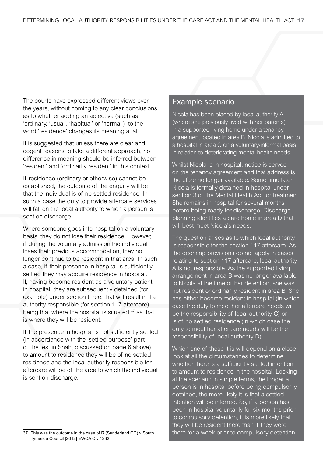The courts have expressed different views over the years, without coming to any clear conclusions as to whether adding an adjective (such as 'ordinary, 'usual', 'habitual' or 'normal') to the word 'residence' changes its meaning at all.

It is suggested that unless there are clear and cogent reasons to take a different approach, no difference in meaning should be inferred between 'resident' and 'ordinarily resident' in this context.

If residence (ordinary or otherwise) cannot be established, the outcome of the enquiry will be that the individual is of no settled residence. In such a case the duty to provide aftercare services will fall on the local authority to which a person is sent on discharge.

Where someone goes into hospital on a voluntary basis, they do not lose their residence. However, if during the voluntary admission the individual loses their previous accommodation, they no longer continue to be resident in that area. In such a case, if their presence in hospital is sufficiently settled they may acquire residence in hospital. If, having become resident as a voluntary patient in hospital, they are subsequently detained (for example) under section three, that will result in the authority responsible (for section 117 aftercare) being that where the hospital is situated.<sup>37</sup> as that is where they will be resident.

If the presence in hospital is not sufficiently settled (in accordance with the 'settled purpose' part of the test in Shah, discussed on page 6 above) to amount to residence they will be of no settled residence and the local authority responsible for aftercare will be of the area to which the individual is sent on discharge.

### Example scenario

Nicola has been placed by local authority A (where she previously lived with her parents) in a supported living home under a tenancy agreement located in area B. Nicola is admitted to a hospital in area C on a voluntary/informal basis in relation to deteriorating mental health needs.

Whilst Nicola is in hospital, notice is served on the tenancy agreement and that address is therefore no longer available. Some time later Nicola is formally detained in hospital under section 3 of the Mental Health Act for treatment. She remains in hospital for several months before being ready for discharge. Discharge planning identifies a care home in area D that will best meet Nicola's needs.

The question arises as to which local authority is responsible for the section 117 aftercare. As the deeming provisions do not apply in cases relating to section 117 aftercare, local authority A is not responsible. As the supported living arrangement in area B was no longer available to Nicola at the time of her detention, she was not resident or ordinarily resident in area B. She has either become resident in hospital (in which case the duty to meet her aftercare needs will be the responsibility of local authority C) or is of no settled residence (in which case the duty to meet her aftercare needs will be the responsibility of local authority D).

Which one of those it is will depend on a close look at all the circumstances to determine whether there is a sufficiently settled intention to amount to residence in the hospital. Looking at the scenario in simple terms, the longer a person is in hospital before being compulsorily detained, the more likely it is that a settled intention will be inferred. So, if a person has been in hospital voluntarily for six months prior to compulsory detention, it is more likely that they will be resident there than if they were there for a week prior to compulsory detention.

This was the outcome in the case of R (Sunderland CC) v South Tyneside Council [2012] EWCA Civ 1232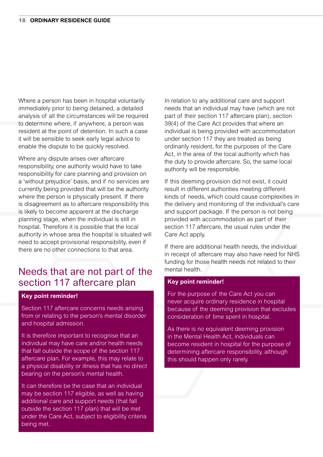Where a person has been in hospital voluntarily immediately prior to being detained, a detailed analysis of all the circumstances will be required to determine where, if anywhere, a person was resident at the point of detention. In such a case it will be sensible to seek early legal advice to enable the dispute to be quickly resolved.

Where any dispute arises over aftercare responsibility, one authority would have to take responsibility for care planning and provision on a 'without prejudice' basis, and if no services are currently being provided that will be the authority where the person is physically present. If there is disagreement as to aftercare responsibility this is likely to become apparent at the discharge planning stage, when the individual is still in hospital. Therefore it is possible that the local authority in whose area the hospital is situated will need to accept provisional responsibility, even if there are no other connections to that area.

### Needs that are not part of the section 117 aftercare plan

#### **Key point reminder!**

Section 117 aftercare concerns needs arising from or relating to the person's mental disorder and hospital admission.

It is therefore important to recognise that an individual may have care and/or health needs that fall outside the scope of the section 117 aftercare plan. For example, this may relate to a physical disability or illness that has no direct bearing on the person's mental health.

It can therefore be the case that an individual may be section 117 eligible, as well as having additional care and support needs (that fall outside the section 117 plan) that will be met under the Care Act, subject to eligibility criteria being met.

In relation to any additional care and support needs that an individual may have (which are not part of their section 117 aftercare plan), section 39(4) of the Care Act provides that where an individual is being provided with accommodation under section 117 they are treated as being ordinarily resident, for the purposes of the Care Act, in the area of the local authority which has the duty to provide aftercare. So, the same local authority will be responsible.

If this deeming provision did not exist, it could result in different authorities meeting different kinds of needs, which could cause complexities in the delivery and monitoring of the individual's care and support package. If the person is not being provided with accommodation as part of their section 117 aftercare, the usual rules under the Care Act apply.

If there are additional health needs, the individual in receipt of aftercare may also have need for NHS funding for those health needs not related to their mental health.

#### **Key point reminder!**

For the purpose of the Care Act you can never acquire ordinary residence in hospital because of the deeming provision that excludes consideration of time spent in hospital.

As there is no equivalent deeming provision in the Mental Health Act, individuals can become resident in hospital for the purpose of determining aftercare responsibility, although this should happen only rarely.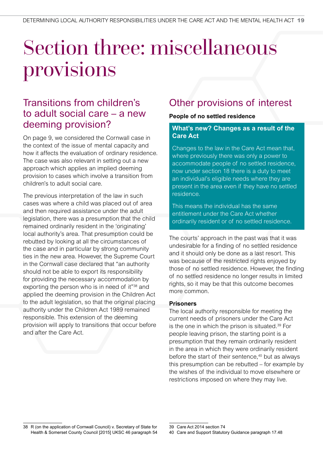## Section three: miscellaneous provisions

## Transitions from children's to adult social care – a new deeming provision?

On page 9, we considered the Cornwall case in the context of the issue of mental capacity and how it affects the evaluation of ordinary residence. The case was also relevant in setting out a new approach which applies an implied deeming provision to cases which involve a transition from children's to adult social care.

The previous interpretation of the law in such cases was where a child was placed out of area and then required assistance under the adult legislation, there was a presumption that the child remained ordinarily resident in the 'originating' local authority's area. That presumption could be rebutted by looking at all the circumstances of the case and in particular by strong community ties in the new area. However, the Supreme Court in the Cornwall case declared that "an authority should not be able to export its responsibility for providing the necessary accommodation by exporting the person who is in need of it"38 and applied the deeming provision in the Children Act to the adult legislation, so that the original placing authority under the Children Act 1989 remained responsible. This extension of the deeming provision will apply to transitions that occur before and after the Care Act.

## Other provisions of interest

### **People of no settled residence**

### **What's new? Changes as a result of the Care Act**

Changes to the law in the Care Act mean that, where previously there was only a power to accommodate people of no settled residence, now under section 18 there is a duty to meet an individual's eligible needs where they are present in the area even if they have no settled residence.

This means the individual has the same entitlement under the Care Act whether ordinarily resident or of no settled residence.

The courts' approach in the past was that it was undesirable for a finding of no settled residence and it should only be done as a last resort. This was because of the restricted rights enjoyed by those of no settled residence. However, the finding of no settled residence no longer results in limited rights, so it may be that this outcome becomes more common.

### **Prisoners**

The local authority responsible for meeting the current needs of prisoners under the Care Act is the one in which the prison is situated.<sup>39</sup> For people leaving prison, the starting point is a presumption that they remain ordinarily resident in the area in which they were ordinarily resident before the start of their sentence,<sup>40</sup> but as always this presumption can be rebutted – for example by the wishes of the individual to move elsewhere or restrictions imposed on where they may live.

<sup>38</sup> R (on the application of Cornwall Council) v. Secretary of State for Health & Somerset County Council [2015] UKSC 46 paragraph 54

<sup>39</sup> Care Act 2014 section 74

<sup>40</sup> Care and Support Statutory Guidance paragraph 17.48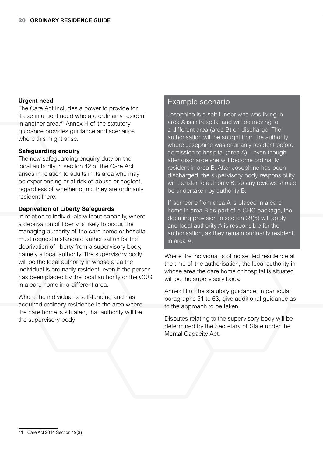### **Urgent need**

The Care Act includes a power to provide for those in urgent need who are ordinarily resident in another area. $41$  Annex H of the statutory guidance provides guidance and scenarios where this might arise.

### **Safeguarding enquiry**

The new safeguarding enquiry duty on the local authority in section 42 of the Care Act arises in relation to adults in its area who may be experiencing or at risk of abuse or neglect, regardless of whether or not they are ordinarily resident there.

#### **Deprivation of Liberty Safeguards**

In relation to individuals without capacity, where a deprivation of liberty is likely to occur, the managing authority of the care home or hospital must request a standard authorisation for the deprivation of liberty from a supervisory body, namely a local authority. The supervisory body will be the local authority in whose area the individual is ordinarily resident, even if the person has been placed by the local authority or the CCG in a care home in a different area.

Where the individual is self-funding and has acquired ordinary residence in the area where the care home is situated, that authority will be the supervisory body.

### Example scenario

Josephine is a self-funder who was living in area A is in hospital and will be moving to a different area (area B) on discharge. The authorisation will be sought from the authority where Josephine was ordinarily resident before admission to hospital (area A) – even though after discharge she will become ordinarily resident in area B. After Josephine has been discharged, the supervisory body responsibility will transfer to authority B, so any reviews should be undertaken by authority B.

If someone from area A is placed in a care home in area B as part of a CHC package, the deeming provision in section 39(5) will apply and local authority A is responsible for the authorisation, as they remain ordinarily resident in area A.

Where the individual is of no settled residence at the time of the authorisation, the local authority in whose area the care home or hospital is situated will be the supervisory body.

Annex H of the statutory guidance, in particular paragraphs 51 to 63, give additional guidance as to the approach to be taken.

Disputes relating to the supervisory body will be determined by the Secretary of State under the Mental Capacity Act.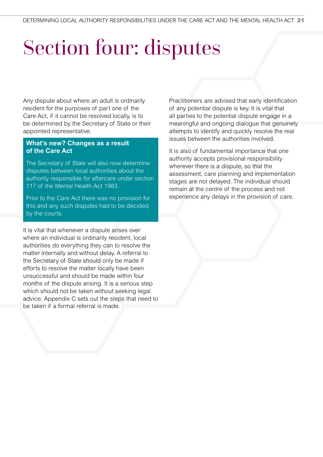# Section four: disputes

Any dispute about where an adult is ordinarily resident for the purposes of part one of the Care Act, if it cannot be resolved locally, is to be determined by the Secretary of State or their appointed representative.

### **What's new? Changes as a result of the Care Act**

The Secretary of State will also now determine disputes between local authorities about the authority responsible for aftercare under section 117 of the Mental Health Act 1983.

Prior to the Care Act there was no provision for this and any such disputes had to be decided by the courts.

It is vital that whenever a dispute arises over where an individual is ordinarily resident, local authorities do everything they can to resolve the matter internally and without delay. A referral to the Secretary of State should only be made if efforts to resolve the matter locally have been unsuccessful and should be made within four months of the dispute arising. It is a serious step which should not be taken without seeking legal advice. Appendix C sets out the steps that need to be taken if a formal referral is made.

Practitioners are advised that early identification of any potential dispute is key. It is vital that all parties to the potential dispute engage in a meaningful and ongoing dialogue that genuinely attempts to identify and quickly resolve the real issues between the authorities involved.

It is also of fundamental importance that one authority accepts provisional responsibility wherever there is a dispute, so that the assessment, care planning and implementation stages are not delayed. The individual should remain at the centre of the process and not experience any delays in the provision of care.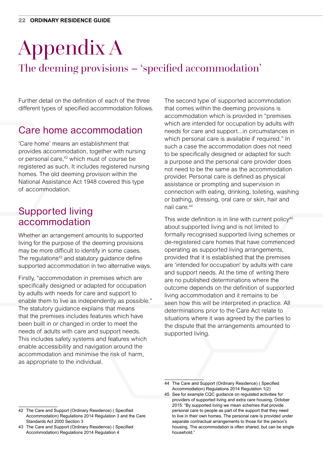# Appendix A

## The deeming provisions – 'specified accommodation'

Further detail on the definition of each of the three different types of specified accommodation follows.

## Care home accommodation

'Care home' means an establishment that provides accommodation, together with nursing or personal care,<sup>42</sup> which must of course be registered as such. It includes registered nursing homes. The old deeming provision within the National Assistance Act 1948 covered this type of accommodation.

## Supported living accommodation

Whether an arrangement amounts to supported living for the purpose of the deeming provisions may be more difficult to identify in some cases. The regulations<sup>43</sup> and statutory guidance define supported accommodation in two alternative ways.

Firstly, "accommodation in premises which are specifically designed or adapted for occupation by adults with needs for care and support to enable them to live as independently as possible." The statutory guidance explains that means that the premises includes features which have been built in or changed in order to meet the needs of adults with care and support needs. This includes safety systems and features which enable accessibility and navigation around the accommodation and minimise the risk of harm, as appropriate to the individual.

The second type of supported accommodation that comes within the deeming provisions is accommodation which is provided in "premises which are intended for occupation by adults with needs for care and support...in circumstances in which personal care is available if required." In such a case the accommodation does not need to be specifically designed or adapted for such a purpose and the personal care provider does not need to be the same as the accommodation provider. Personal care is defined as physical assistance or prompting and supervision in connection with eating, drinking, toileting, washing or bathing, dressing, oral care or skin, hair and nail care.<sup>44</sup>

This wide definition is in line with current policy<sup>45</sup> about supported living and is not limited to formally recognised supported living schemes or de-registered care homes that have commenced operating as supported living arrangements, provided that it is established that the premises are 'intended for occupation' by adults with care and support needs. At the time of writing there are no published determinations where the outcome depends on the definition of supported living accommodation and it remains to be seen how this will be interpreted in practice. All determinations prior to the Care Act relate to situations where it was agreed by the parties to the dispute that the arrangements amounted to supported living.

<sup>44</sup> The Care and Support (Ordinary Residence) ( Specified Accommodation) Regulations 2014 Regulation 1(2)

<sup>45</sup> See for example CQC guidance on regulated activities for providers of supported living and extra care housing, October 2015: "By supported living we mean schemes that provide personal care to people as part of the support that they need to live in their own homes. The personal care is provided under separate contractual arrangements to those for the person's housing. The accommodation is often shared, but can be single household."

<sup>42</sup> The Care and Support (Ordinary Residence) ( Specified Accommodation) Regulations 2014 Regulation 3 and the Care Standards Act 2000 Section 3

<sup>43</sup> The Care and Support (Ordinary Residence) ( Specified Accommodation) Regulations 2014 Regulation 4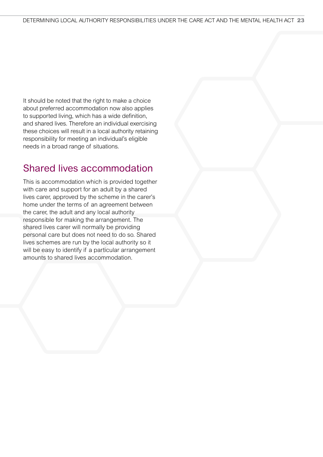It should be noted that the right to make a choice about preferred accommodation now also applies to supported living, which has a wide definition, and shared lives. Therefore an individual exercising these choices will result in a local authority retaining responsibility for meeting an individual's eligible needs in a broad range of situations.

## Shared lives accommodation

This is accommodation which is provided together with care and support for an adult by a shared lives carer, approved by the scheme in the carer's home under the terms of an agreement between the carer, the adult and any local authority responsible for making the arrangement. The shared lives carer will normally be providing personal care but does not need to do so. Shared lives schemes are run by the local authority so it will be easy to identify if a particular arrangement amounts to shared lives accommodation.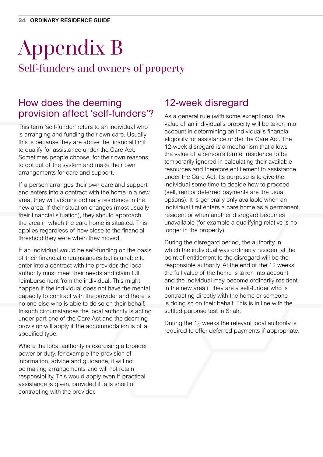## Appendix B Self-funders and owners of property

## How does the deeming provision affect 'self-funders'?

This term 'self-funder' refers to an individual who is arranging and funding their own care. Usually this is because they are above the financial limit to qualify for assistance under the Care Act. Sometimes people choose, for their own reasons, to opt out of the system and make their own arrangements for care and support.

If a person arranges their own care and support and enters into a contract with the home in a new area, they will acquire ordinary residence in the new area. If their situation changes (most usually their financial situation), they should approach the area in which the care home is situated. This applies regardless of how close to the financial threshold they were when they moved.

If an individual would be self-funding on the basis of their financial circumstances but is unable to enter into a contract with the provider, the local authority must meet their needs and claim full reimbursement from the individual. This might happen if the individual does not have the mental capacity to contract with the provider and there is no one else who is able to do so on their behalf. In such circumstances the local authority is acting under part one of the Care Act and the deeming provision will apply if the accommodation is of a specified type.

Where the local authority is exercising a broader power or duty, for example the provision of information, advice and guidance, it will not be making arrangements and will not retain responsibility. This would apply even if practical assistance is given, provided it falls short of contracting with the provider.

## 12-week disregard

As a general rule (with some exceptions), the value of an individual's property will be taken into account in determining an individual's financial eligibility for assistance under the Care Act. The 12-week disregard is a mechanism that allows the value of a person's former residence to be temporarily ignored in calculating their available resources and therefore entitlement to assistance under the Care Act. Its purpose is to give the individual some time to decide how to proceed (sell, rent or deferred payments are the usual options). It is generally only available when an individual first enters a care home as a permanent resident or when another disregard becomes unavailable (for example a qualifying relative is no longer in the property).

During the disregard period, the authority in which the individual was ordinarily resident at the point of entitlement to the disregard will be the responsible authority. At the end of the 12 weeks the full value of the home is taken into account and the individual may become ordinarily resident in the new area if they are a self-funder who is contracting directly with the home or someone is doing so on their behalf. This is in line with the settled purpose test in Shah.

During the 12 weeks the relevant local authority is required to offer deferred payments if appropriate.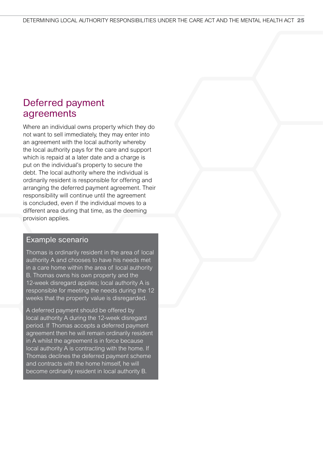## Deferred payment agreements

Where an individual owns property which they do not want to sell immediately, they may enter into an agreement with the local authority whereby the local authority pays for the care and support which is repaid at a later date and a charge is put on the individual's property to secure the debt. The local authority where the individual is ordinarily resident is responsible for offering and arranging the deferred payment agreement. Their responsibility will continue until the agreement is concluded, even if the individual moves to a different area during that time, as the deeming provision applies.

### Example scenario

Thomas is ordinarily resident in the area of local authority A and chooses to have his needs met in a care home within the area of local authority B. Thomas owns his own property and the 12-week disregard applies; local authority A is responsible for meeting the needs during the 12 weeks that the property value is disregarded.

A deferred payment should be offered by local authority A during the 12-week disregard period. If Thomas accepts a deferred payment agreement then he will remain ordinarily resident in A whilst the agreement is in force because local authority A is contracting with the home. If Thomas declines the deferred payment scheme and contracts with the home himself, he will become ordinarily resident in local authority B.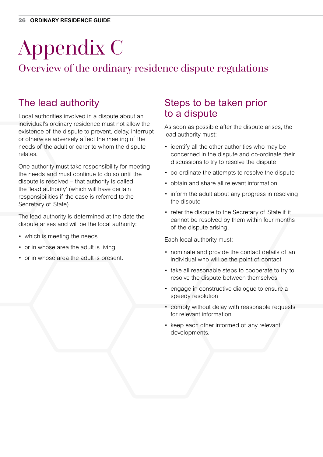# Appendix C

## Overview of the ordinary residence dispute regulations

## The lead authority

Local authorities involved in a dispute about an individual's ordinary residence must not allow the existence of the dispute to prevent, delay, interrupt or otherwise adversely affect the meeting of the needs of the adult or carer to whom the dispute relates.

One authority must take responsibility for meeting the needs and must continue to do so until the dispute is resolved – that authority is called the 'lead authority' (which will have certain responsibilities if the case is referred to the Secretary of State).

The lead authority is determined at the date the dispute arises and will be the local authority:

- which is meeting the needs
- or in whose area the adult is living
- or in whose area the adult is present.

## Steps to be taken prior to a dispute

As soon as possible after the dispute arises, the lead authority must:

- identify all the other authorities who may be concerned in the dispute and co-ordinate their discussions to try to resolve the dispute
- co-ordinate the attempts to resolve the dispute
- obtain and share all relevant information
- inform the adult about any progress in resolving the dispute
- refer the dispute to the Secretary of State if it cannot be resolved by them within four months of the dispute arising.

Each local authority must:

- nominate and provide the contact details of an individual who will be the point of contact
- take all reasonable steps to cooperate to try to resolve the dispute between themselves
- engage in constructive dialogue to ensure a speedy resolution
- comply without delay with reasonable requests for relevant information
- keep each other informed of any relevant developments.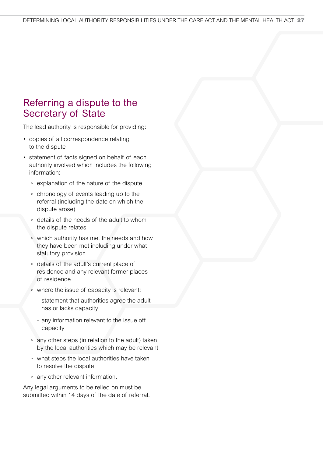## Referring a dispute to the Secretary of State

The lead authority is responsible for providing:

- copies of all correspondence relating to the dispute
- statement of facts signed on behalf of each authority involved which includes the following information:
	- explanation of the nature of the dispute
	- chronology of events leading up to the referral (including the date on which the dispute arose)
	- details of the needs of the adult to whom the dispute relates
	- which authority has met the needs and how they have been met including under what statutory provision
	- details of the adult's current place of residence and any relevant former places of residence
	- where the issue of capacity is relevant:
		- statement that authorities agree the adult has or lacks capacity
		- any information relevant to the issue off capacity
	- any other steps (in relation to the adult) taken by the local authorities which may be relevant
	- what steps the local authorities have taken to resolve the dispute
	- any other relevant information.

Any legal arguments to be relied on must be submitted within 14 days of the date of referral.